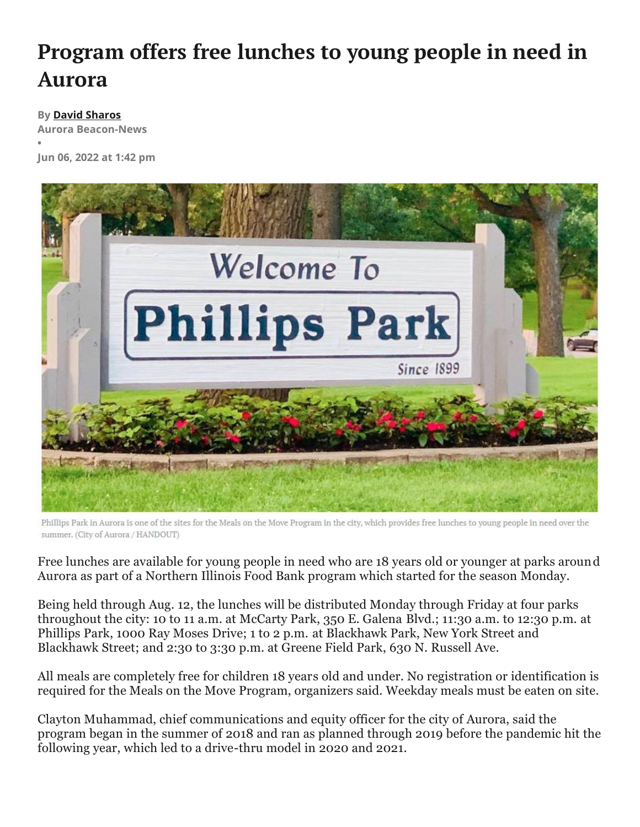## **Program offers free lunches to young people in need in Aurora**

## **By David Sharos**

**•**

**Aurora Beacon-News**

**Jun 06, 2022 at 1:42 pm**



Phillips Park in Aurora is one of the sites for the Meals on the Move Program in the city, which provides free lunches to young people in need over the summer. (City of Aurora / HANDOUT)

Free lunches are available for young people in need who are 18 years old or younger at parks around Aurora as part of a Northern Illinois Food Bank program which started for the season Monday.

Being held through Aug. 12, the lunches will be distributed Monday through Friday at four parks throughout the city: 10 to 11 a.m. at McCarty Park, 350 E. Galena Blvd.; 11:30 a.m. to 12:30 p.m. at Phillips Park, 1000 Ray Moses Drive; 1 to 2 p.m. at Blackhawk Park, New York Street and Blackhawk Street; and 2:30 to 3:30 p.m. at Greene Field Park, 630 N. Russell Ave.

All meals are completely free for children 18 years old and under. No registration or identification is required for the Meals on the Move Program, organizers said. Weekday meals must be eaten on site.

Clayton Muhammad, chief communications and equity officer for the city of Aurora, said the program began in the summer of 2018 and ran as planned through 2019 before the pandemic hit the following year, which led to a drive-thru model in 2020 and 2021.